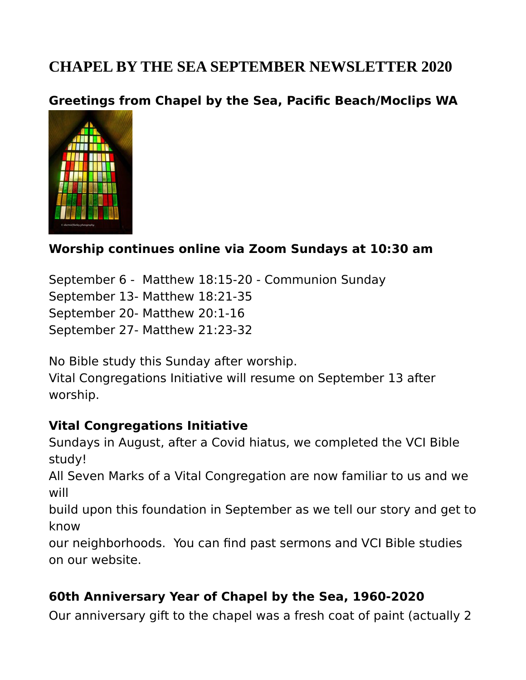# **CHAPEL BY THE SEA SEPTEMBER NEWSLETTER 2020**

### **Greetings from Chapel by the Sea, Pacific Beach/Moclips WA**



### **Worship continues online via Zoom Sundays at 10:30 am**

September 6 - Matthew 18:15-20 - Communion Sunday September 13- Matthew 18:21-35 September 20- Matthew 20:1-16 September 27- Matthew 21:23-32

No Bible study this Sunday after worship.

Vital Congregations Initiative will resume on September 13 after worship.

#### **Vital Congregations Initiative**

Sundays in August, after a Covid hiatus, we completed the VCI Bible study!

All Seven Marks of a Vital Congregation are now familiar to us and we will

build upon this foundation in September as we tell our story and get to know

our neighborhoods. You can find past sermons and VCI Bible studies on our website.

#### **60th Anniversary Year of Chapel by the Sea, 1960-2020**

Our anniversary gift to the chapel was a fresh coat of paint (actually 2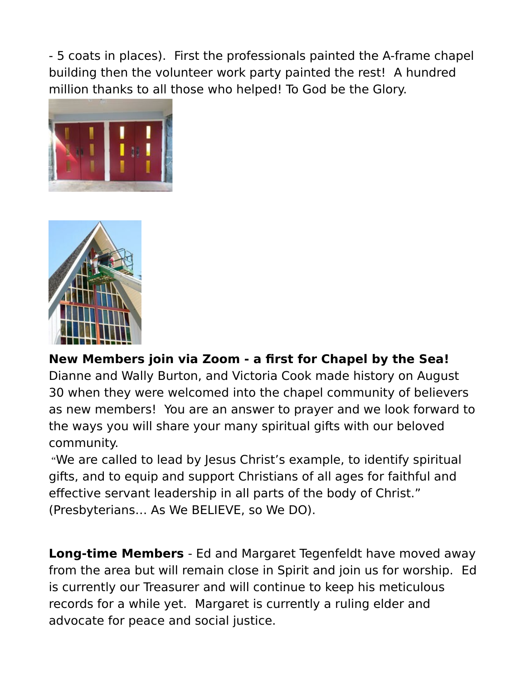- 5 coats in places). First the professionals painted the A-frame chapel building then the volunteer work party painted the rest! A hundred million thanks to all those who helped! To God be the Glory.





**New Members join via Zoom - a first for Chapel by the Sea!** Dianne and Wally Burton, and Victoria Cook made history on August 30 when they were welcomed into the chapel community of believers as new members! You are an answer to prayer and we look forward to the ways you will share your many spiritual gifts with our beloved community.

"We are called to lead by Jesus Christ's example, to identify spiritual gifts, and to equip and support Christians of all ages for faithful and effective servant leadership in all parts of the body of Christ." (Presbyterians… As We BELIEVE, so We DO).

**Long-time Members** - Ed and Margaret Tegenfeldt have moved away from the area but will remain close in Spirit and join us for worship. Ed is currently our Treasurer and will continue to keep his meticulous records for a while yet. Margaret is currently a ruling elder and advocate for peace and social justice.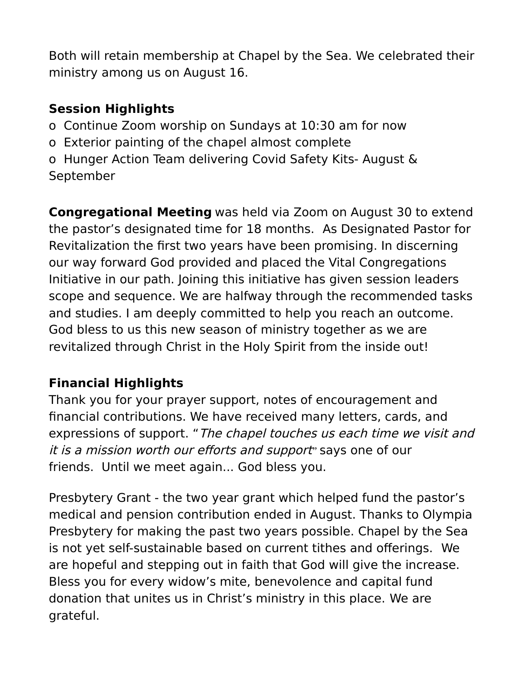Both will retain membership at Chapel by the Sea. We celebrated their ministry among us on August 16.

## **Session Highlights**

- o Continue Zoom worship on Sundays at 10:30 am for now
- o Exterior painting of the chapel almost complete
- o Hunger Action Team delivering Covid Safety Kits- August & September

**Congregational Meeting** was held via Zoom on August 30 to extend the pastor's designated time for 18 months. As Designated Pastor for Revitalization the first two years have been promising. In discerning our way forward God provided and placed the Vital Congregations Initiative in our path. Joining this initiative has given session leaders scope and sequence. We are halfway through the recommended tasks and studies. I am deeply committed to help you reach an outcome. God bless to us this new season of ministry together as we are revitalized through Christ in the Holy Spirit from the inside out!

## **Financial Highlights**

Thank you for your prayer support, notes of encouragement and financial contributions. We have received many letters, cards, and expressions of support. "The chapel touches us each time we visit and it is a mission worth our efforts and support" says one of our friends. Until we meet again... God bless you.

Presbytery Grant - the two year grant which helped fund the pastor's medical and pension contribution ended in August. Thanks to Olympia Presbytery for making the past two years possible. Chapel by the Sea is not yet self-sustainable based on current tithes and offerings. We are hopeful and stepping out in faith that God will give the increase. Bless you for every widow's mite, benevolence and capital fund donation that unites us in Christ's ministry in this place. We are grateful.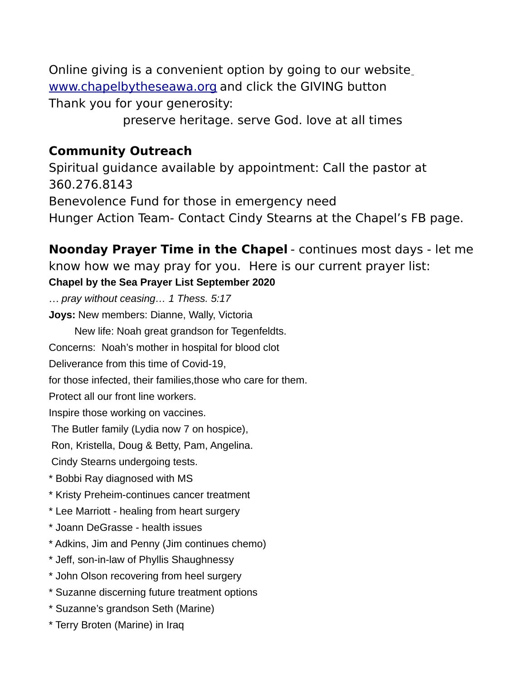Online giving is a convenient option by going to our website [www.chapelbytheseawa.org](http://www.chapelbytheseawa.org/) and click the GIVING button Thank you for your generosity:

preserve heritage. serve God. love at all times

#### **Community Outreach**

Spiritual guidance available by appointment: Call the pastor at 360.276.8143 Benevolence Fund for those in emergency need Hunger Action Team- Contact Cindy Stearns at the Chapel's FB page.

**Noonday Prayer Time in the Chapel** - continues most days - let me know how we may pray for you. Here is our current prayer list:

#### **Chapel by the Sea Prayer List September 2020**

… *pray without ceasing… 1 Thess. 5:17*

**Joys:** New members: Dianne, Wally, Victoria

New life: Noah great grandson for Tegenfeldts.

Concerns: Noah's mother in hospital for blood clot

Deliverance from this time of Covid-19,

for those infected, their families,those who care for them.

Protect all our front line workers.

Inspire those working on vaccines.

The Butler family (Lydia now 7 on hospice),

Ron, Kristella, Doug & Betty, Pam, Angelina.

Cindy Stearns undergoing tests.

\* Bobbi Ray diagnosed with MS

\* Kristy Preheim-continues cancer treatment

- \* Lee Marriott healing from heart surgery
- \* Joann DeGrasse health issues
- \* Adkins, Jim and Penny (Jim continues chemo)
- \* Jeff, son-in-law of Phyllis Shaughnessy
- \* John Olson recovering from heel surgery
- \* Suzanne discerning future treatment options
- \* Suzanne's grandson Seth (Marine)
- \* Terry Broten (Marine) in Iraq